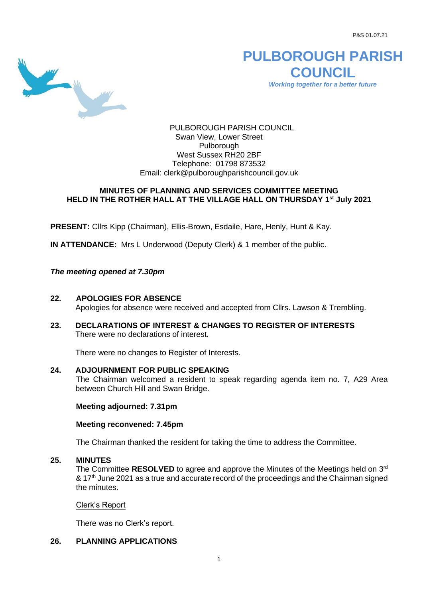P&S 01.07.21



**PULBOROUGH PARISH COUNCIL** *Working together for a better future*

PULBOROUGH PARISH COUNCIL Swan View, Lower Street Pulborough West Sussex RH20 2BF Telephone: 01798 873532 Email: [clerk@pulboroughparishcouncil.gov.uk](mailto:clerk@pulboroughparishcouncil.gov.uk)

# **MINUTES OF PLANNING AND SERVICES COMMITTEE MEETING HELD IN THE ROTHER HALL AT THE VILLAGE HALL ON THURSDAY 1 st July 2021**

**PRESENT:** Cllrs Kipp (Chairman), Ellis-Brown, Esdaile, Hare, Henly, Hunt & Kay.

**IN ATTENDANCE:** Mrs L Underwood (Deputy Clerk) & 1 member of the public.

*The meeting opened at 7.30pm*

- **22. APOLOGIES FOR ABSENCE** Apologies for absence were received and accepted from Cllrs. Lawson & Trembling.
- **23. DECLARATIONS OF INTEREST & CHANGES TO REGISTER OF INTERESTS** There were no declarations of interest.

There were no changes to Register of Interests.

# **24. ADJOURNMENT FOR PUBLIC SPEAKING**

The Chairman welcomed a resident to speak regarding agenda item no. 7, A29 Area between Church Hill and Swan Bridge.

**Meeting adjourned: 7.31pm** 

# **Meeting reconvened: 7.45pm**

The Chairman thanked the resident for taking the time to address the Committee.

### **25. MINUTES**

The Committee RESOLVED to agree and approve the Minutes of the Meetings held on  $3<sup>rd</sup>$ & 17<sup>th</sup> June 2021 as a true and accurate record of the proceedings and the Chairman signed the minutes.

#### Clerk's Report

There was no Clerk's report.

# **26. PLANNING APPLICATIONS**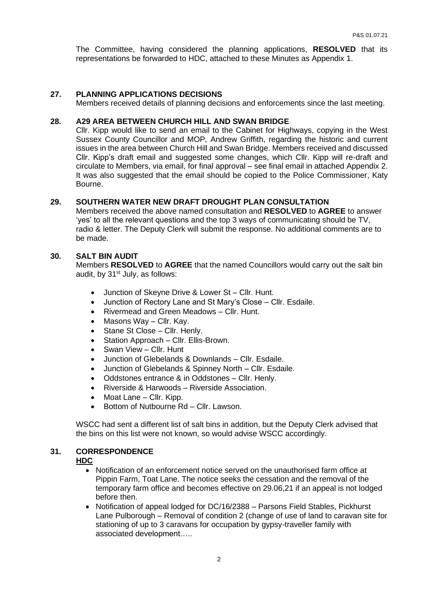The Committee, having considered the planning applications, **RESOLVED** that its representations be forwarded to HDC, attached to these Minutes as Appendix 1.

#### **27. PLANNING APPLICATIONS DECISIONS**

Members received details of planning decisions and enforcements since the last meeting.

### **28. A29 AREA BETWEEN CHURCH HILL AND SWAN BRIDGE**

Cllr. Kipp would like to send an email to the Cabinet for Highways, copying in the West Sussex County Councillor and MOP, Andrew Griffith, regarding the historic and current issues in the area between Church Hill and Swan Bridge. Members received and discussed Cllr. Kipp's draft email and suggested some changes, which Cllr. Kipp will re-draft and circulate to Members, via email, for final approval – see final email in attached Appendix 2. It was also suggested that the email should be copied to the Police Commissioner, Katy Bourne.

# **29. SOUTHERN WATER NEW DRAFT DROUGHT PLAN CONSULTATION**

Members received the above named consultation and **RESOLVED** to **AGREE** to answer 'yes' to all the relevant questions and the top 3 ways of communicating should be TV, radio & letter. The Deputy Clerk will submit the response. No additional comments are to be made.

#### **30. SALT BIN AUDIT**

Members **RESOLVED** to **AGREE** that the named Councillors would carry out the salt bin audit, by  $31<sup>st</sup>$  July, as follows:

- Junction of Skeyne Drive & Lower St Cllr. Hunt.
- Junction of Rectory Lane and St Mary's Close Cllr. Esdaile.
- Rivermead and Green Meadows Cllr. Hunt.
- Masons Way Cllr. Kay.
- Stane St Close Cllr. Henly.
- Station Approach Cllr. Ellis-Brown.
- Swan View Cllr. Hunt
- Junction of Glebelands & Downlands Cllr. Esdaile.
- Junction of Glebelands & Spinney North Cllr. Esdaile.
- Oddstones entrance & in Oddstones Cllr. Henly.
- Riverside & Harwoods Riverside Association.
- Moat Lane Cllr. Kipp.
- Bottom of Nutbourne Rd Cllr. Lawson.

WSCC had sent a different list of salt bins in addition, but the Deputy Clerk advised that the bins on this list were not known, so would advise WSCC accordingly.

### **31. CORRESPONDENCE**

#### **HDC**

- Notification of an enforcement notice served on the unauthorised farm office at Pippin Farm, Toat Lane. The notice seeks the cessation and the removal of the temporary farm office and becomes effective on 29.06,21 if an appeal is not lodged before then.
- Notification of appeal lodged for DC/16/2388 Parsons Field Stables, Pickhurst Lane Pulborough – Removal of condition 2 (change of use of land to caravan site for stationing of up to 3 caravans for occupation by gypsy-traveller family with associated development…..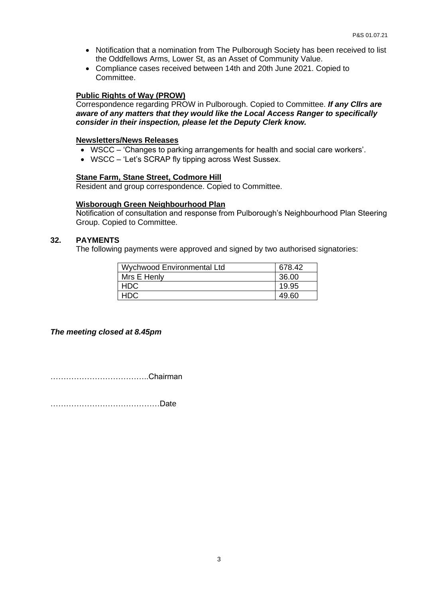- Notification that a nomination from The Pulborough Society has been received to list the Oddfellows Arms, Lower St, as an Asset of Community Value.
- Compliance cases received between 14th and 20th June 2021. Copied to Committee.

# **Public Rights of Way (PROW)**

Correspondence regarding PROW in Pulborough. Copied to Committee. *If any Cllrs are aware of any matters that they would like the Local Access Ranger to specifically consider in their inspection, please let the Deputy Clerk know.*

### **Newsletters/News Releases**

- WSCC 'Changes to parking arrangements for health and social care workers'.
- WSCC 'Let's SCRAP fly tipping across West Sussex.

# **Stane Farm, Stane Street, Codmore Hill**

Resident and group correspondence. Copied to Committee.

### **Wisborough Green Neighbourhood Plan**

Notification of consultation and response from Pulborough's Neighbourhood Plan Steering Group. Copied to Committee.

# **32. PAYMENTS**

The following payments were approved and signed by two authorised signatories:

| Wychwood Environmental Ltd | 678.42 |
|----------------------------|--------|
| Mrs E Henly                | 36.00  |
| <b>HDC</b>                 | 19.95  |
| HDC                        | 49.60  |

*The meeting closed at 8.45pm*

………………………………..Chairman

……………………………………Date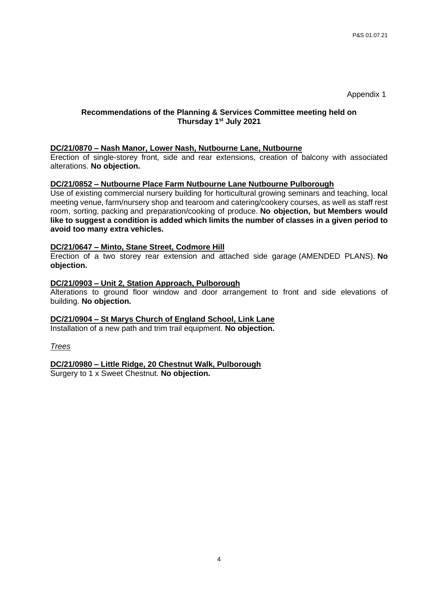Appendix 1

# **Recommendations of the Planning & Services Committee meeting held on Thursday 1 st July 2021**

### **DC/21/0870 – Nash Manor, Lower Nash, Nutbourne Lane, Nutbourne**

Erection of single-storey front, side and rear extensions, creation of balcony with associated alterations. **No objection.**

### **DC/21/0852 – Nutbourne Place Farm Nutbourne Lane Nutbourne Pulborough**

Use of existing commercial nursery building for horticultural growing seminars and teaching, local meeting venue, farm/nursery shop and tearoom and catering/cookery courses, as well as staff rest room, sorting, packing and preparation/cooking of produce. **No objection, but Members would like to suggest a condition is added which limits the number of classes in a given period to avoid too many extra vehicles.**

### **DC/21/0647 – Minto, Stane Street, Codmore Hill**

Erection of a two storey rear extension and attached side garage (AMENDED PLANS). **No objection.**

#### **DC/21/0903 – Unit 2, Station Approach, Pulborough**

Alterations to ground floor window and door arrangement to front and side elevations of building. **No objection.**

# **DC/21/0904 – St Marys Church of England School, Link Lane**

Installation of a new path and trim trail equipment. **No objection.**

#### *Trees*

**DC/21/0980 – Little Ridge, 20 Chestnut Walk, Pulborough**

Surgery to 1 x Sweet Chestnut. **No objection.**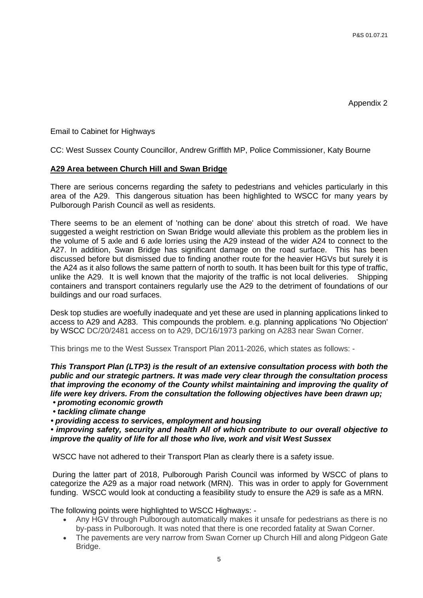Appendix 2

Email to Cabinet for Highways

CC: West Sussex County Councillor, Andrew Griffith MP, Police Commissioner, Katy Bourne

# **A29 Area between Church Hill and Swan Bridge**

There are serious concerns regarding the safety to pedestrians and vehicles particularly in this area of the A29. This dangerous situation has been highlighted to WSCC for many years by Pulborough Parish Council as well as residents.

There seems to be an element of 'nothing can be done' about this stretch of road. We have suggested a weight restriction on Swan Bridge would alleviate this problem as the problem lies in the volume of 5 axle and 6 axle lorries using the A29 instead of the wider A24 to connect to the A27. In addition, Swan Bridge has significant damage on the road surface. This has been discussed before but dismissed due to finding another route for the heavier HGVs but surely it is the A24 as it also follows the same pattern of north to south. It has been built for this type of traffic, unlike the A29. It is well known that the majority of the traffic is not local deliveries. Shipping containers and transport containers regularly use the A29 to the detriment of foundations of our buildings and our road surfaces.

Desk top studies are woefully inadequate and yet these are used in planning applications linked to access to A29 and A283. This compounds the problem. e.g. planning applications 'No Objection' by WSCC DC/20/2481 access on to A29, DC/16/1973 parking on A283 near Swan Corner.

This brings me to the West Sussex Transport Plan 2011-2026, which states as follows: -

*This Transport Plan (LTP3) is the result of an extensive consultation process with both the public and our strategic partners. It was made very clear through the consultation process that improving the economy of the County whilst maintaining and improving the quality of life were key drivers. From the consultation the following objectives have been drawn up;*

*• promoting economic growth*

*• tackling climate change*

*• providing access to services, employment and housing*

*• improving safety, security and health All of which contribute to our overall objective to improve the quality of life for all those who live, work and visit West Sussex*

WSCC have not adhered to their Transport Plan as clearly there is a safety issue.

During the latter part of 2018, Pulborough Parish Council was informed by WSCC of plans to categorize the A29 as a major road network (MRN). This was in order to apply for Government funding. WSCC would look at conducting a feasibility study to ensure the A29 is safe as a MRN.

The following points were highlighted to WSCC Highways: -

- Any HGV through Pulborough automatically makes it unsafe for pedestrians as there is no by-pass in Pulborough. It was noted that there is one recorded fatality at Swan Corner.
- The pavements are very narrow from Swan Corner up Church Hill and along Pidgeon Gate Bridge.